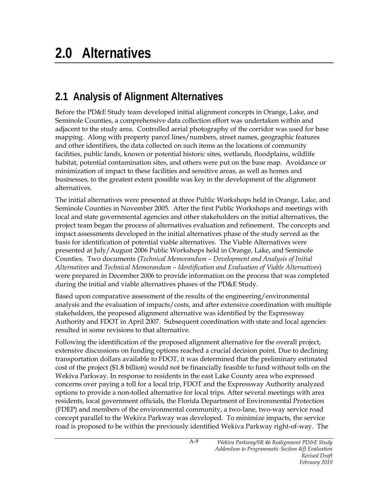## **2.1 Analysis of Alignment Alternatives**

Before the PD&E Study team developed initial alignment concepts in Orange, Lake, and Seminole Counties, a comprehensive data collection effort was undertaken within and adjacent to the study area. Controlled aerial photography of the corridor was used for base mapping. Along with property parcel lines/numbers, street names, geographic features and other identifiers, the data collected on such items as the locations of community facilities, public lands, known or potential historic sites, wetlands, floodplains, wildlife habitat, potential contamination sites, and others were put on the base map. Avoidance or minimization of impact to these facilities and sensitive areas, as well as homes and businesses, to the greatest extent possible was key in the development of the alignment alternatives.

The initial alternatives were presented at three Public Workshops held in Orange, Lake, and Seminole Counties in November 2005. After the first Public Workshops and meetings with local and state governmental agencies and other stakeholders on the initial alternatives, the project team began the process of alternatives evaluation and refinement. The concepts and impact assessments developed in the initial alternatives phase of the study served as the basis for identification of potential viable alternatives. The Viable Alternatives were presented at July/August 2006 Public Workshops held in Orange, Lake, and Seminole Counties. Two documents (*Technical Memorandum – Development and Analysis of Initial Alternatives* and *Technical Memorandum – Identification and Evaluation of Viable Alternatives*) were prepared in December 2006 to provide information on the process that was completed during the initial and viable alternatives phases of the PD&E Study.

Based upon comparative assessment of the results of the engineering/environmental analysis and the evaluation of impacts/costs, and after extensive coordination with multiple stakeholders, the proposed alignment alternative was identified by the Expressway Authority and FDOT in April 2007. Subsequent coordination with state and local agencies resulted in some revisions to that alternative.

Following the identification of the proposed alignment alternative for the overall project, extensive discussions on funding options reached a crucial decision point. Due to declining transportation dollars available to FDOT, it was determined that the preliminary estimated cost of the project (\$1.8 billion) would not be financially feasible to fund without tolls on the Wekiva Parkway. In response to residents in the east Lake County area who expressed concerns over paying a toll for a local trip, FDOT and the Expressway Authority analyzed options to provide a non-tolled alternative for local trips. After several meetings with area residents, local government officials, the Florida Department of Environmental Protection (FDEP) and members of the environmental community, a two-lane, two-way service road concept parallel to the Wekiva Parkway was developed. To minimize impacts, the service road is proposed to be within the previously identified Wekiva Parkway right-of-way. The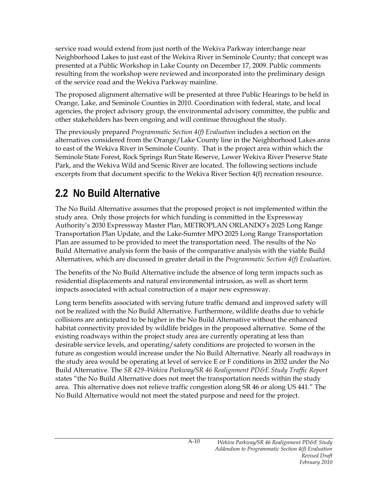service road would extend from just north of the Wekiva Parkway interchange near Neighborhood Lakes to just east of the Wekiva River in Seminole County; that concept was presented at a Public Workshop in Lake County on December 17, 2009. Public comments resulting from the workshop were reviewed and incorporated into the preliminary design of the service road and the Wekiva Parkway mainline.

The proposed alignment alternative will be presented at three Public Hearings to be held in Orange, Lake, and Seminole Counties in 2010. Coordination with federal, state, and local agencies, the project advisory group, the environmental advisory committee, the public and other stakeholders has been ongoing and will continue throughout the study.

The previously prepared *Programmatic Section 4(f) Evaluation* includes a section on the alternatives considered from the Orange/Lake County line in the Neighborhood Lakes area to east of the Wekiva River in Seminole County. That is the project area within which the Seminole State Forest, Rock Springs Run State Reserve, Lower Wekiva River Preserve State Park, and the Wekiva Wild and Scenic River are located. The following sections include excerpts from that document specific to the Wekiva River Section 4(f) recreation resource.

# **2.2 No Build Alternative**

The No Build Alternative assumes that the proposed project is not implemented within the study area. Only those projects for which funding is committed in the Expressway Authority's 2030 Expressway Master Plan, METROPLAN ORLANDO's 2025 Long Range Transportation Plan Update, and the Lake-Sumter MPO 2025 Long Range Transportation Plan are assumed to be provided to meet the transportation need. The results of the No Build Alternative analysis form the basis of the comparative analysis with the viable Build Alternatives, which are discussed in greater detail in the *Programmatic Section 4(f) Evaluation*.

The benefits of the No Build Alternative include the absence of long term impacts such as residential displacements and natural environmental intrusion, as well as short term impacts associated with actual construction of a major new expressway.

Long term benefits associated with serving future traffic demand and improved safety will not be realized with the No Build Alternative. Furthermore, wildlife deaths due to vehicle collisions are anticipated to be higher in the No Build Alternative without the enhanced habitat connectivity provided by wildlife bridges in the proposed alternative. Some of the existing roadways within the project study area are currently operating at less than desirable service levels, and operating/safety conditions are projected to worsen in the future as congestion would increase under the No Build Alternative. Nearly all roadways in the study area would be operating at level of service E or F conditions in 2032 under the No Build Alternative. The *SR 429–Wekiva Parkway/SR 46 Realignment PD&E Study Traffic Report* states "the No Build Alternative does not meet the transportation needs within the study area. This alternative does not relieve traffic congestion along SR 46 or along US 441." The No Build Alternative would not meet the stated purpose and need for the project.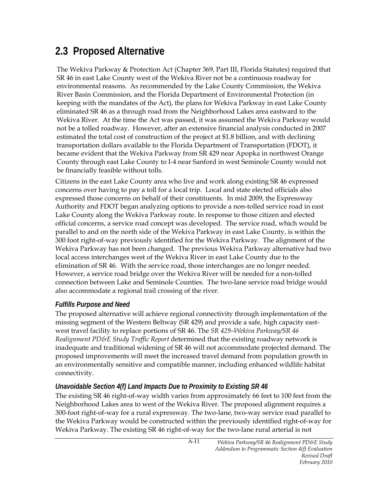### **2.3 Proposed Alternative**

The Wekiva Parkway & Protection Act (Chapter 369, Part III, Florida Statutes) required that SR 46 in east Lake County west of the Wekiva River not be a continuous roadway for environmental reasons. As recommended by the Lake County Commission, the Wekiva River Basin Commission, and the Florida Department of Environmental Protection (in keeping with the mandates of the Act), the plans for Wekiva Parkway in east Lake County eliminated SR 46 as a through road from the Neighborhood Lakes area eastward to the Wekiva River. At the time the Act was passed, it was assumed the Wekiva Parkway would not be a tolled roadway. However, after an extensive financial analysis conducted in 2007 estimated the total cost of construction of the project at \$1.8 billion, and with declining transportation dollars available to the Florida Department of Transportation (FDOT), it became evident that the Wekiva Parkway from SR 429 near Apopka in northwest Orange County through east Lake County to I-4 near Sanford in west Seminole County would not be financially feasible without tolls.

Citizens in the east Lake County area who live and work along existing SR 46 expressed concerns over having to pay a toll for a local trip. Local and state elected officials also expressed those concerns on behalf of their constituents. In mid 2009, the Expressway Authority and FDOT began analyzing options to provide a non-tolled service road in east Lake County along the Wekiva Parkway route. In response to those citizen and elected official concerns, a service road concept was developed. The service road, which would be parallel to and on the north side of the Wekiva Parkway in east Lake County, is within the 300 foot right-of-way previously identified for the Wekiva Parkway. The alignment of the Wekiva Parkway has not been changed. The previous Wekiva Parkway alternative had two local access interchanges west of the Wekiva River in east Lake County due to the elimination of SR 46. With the service road, those interchanges are no longer needed. However, a service road bridge over the Wekiva River will be needed for a non-tolled connection between Lake and Seminole Counties. The two-lane service road bridge would also accommodate a regional trail crossing of the river.

### *Fulfills Purpose and Need*

The proposed alternative will achieve regional connectivity through implementation of the missing segment of the Western Beltway (SR 429) and provide a safe, high capacity eastwest travel facility to replace portions of SR 46. The *SR 429–Wekiva Parkway/SR 46 Realignment PD&E Study Traffic Report* determined that the existing roadway network is inadequate and traditional widening of SR 46 will not accommodate projected demand. The proposed improvements will meet the increased travel demand from population growth in an environmentally sensitive and compatible manner, including enhanced wildlife habitat connectivity.

#### *Unavoidable Section 4(f) Land Impacts Due to Proximity to Existing SR 46*

The existing SR 46 right-of-way width varies from approximately 66 feet to 100 feet from the Neighborhood Lakes area to west of the Wekiva River. The proposed alignment requires a 300-foot right-of-way for a rural expressway. The two-lane, two-way service road parallel to the Wekiva Parkway would be constructed within the previously identified right-of-way for Wekiva Parkway. The existing SR 46 right-of-way for the two-lane rural arterial is not